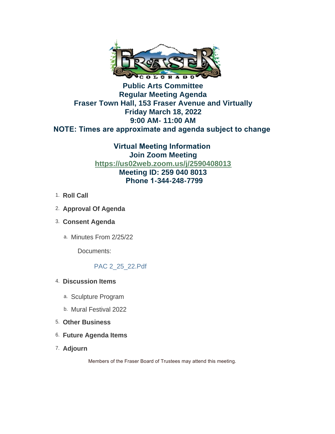

# **Public Arts Committee Regular Meeting Agenda Fraser Town Hall, 153 Fraser Avenue and Virtually Friday March 18, 2022 9:00 AM- 11:00 AM NOTE: Times are approximate and agenda subject to change**

**Virtual Meeting Information Join Zoom Meeting <https://us02web.zoom.us/j/2590408013> Meeting ID: 259 040 8013 Phone 1-344-248-7799**

- 1. **Roll Call**
- **Approval Of Agenda**  2.
- **Consent Agenda** 3.
	- a. Minutes From 2/25/22

Documents:

# PAC 2\_25\_22.Pdf

- **Discussion Items**  4.
	- a. Sculpture Program
	- b. Mural Festival 2022
- **Other Business**  5.
- **Future Agenda Items** 6.
- **Adjourn**  7.

Members of the Fraser Board of Trustees may attend this meeting.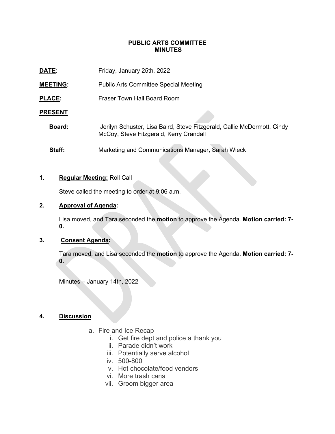#### **PUBLIC ARTS COMMITTEE MINUTES**

| DATE:           | Friday, January 25th, 2022                                                                                         |
|-----------------|--------------------------------------------------------------------------------------------------------------------|
| <b>MEETING:</b> | <b>Public Arts Committee Special Meeting</b>                                                                       |
| <b>PLACE:</b>   | Fraser Town Hall Board Room                                                                                        |
| <b>PRESENT</b>  |                                                                                                                    |
| Board:          | Jerilyn Schuster, Lisa Baird, Steve Fitzgerald, Callie McDermott, Cindy<br>McCoy, Steve Fitzgerald, Kerry Crandall |
| Staff:          | Marketing and Communications Manager, Sarah Wieck                                                                  |

#### **1. Regular Meeting:** Roll Call

Steve called the meeting to order at 9:06 a.m.

# **2. Approval of Agenda:**

Lisa moved, and Tara seconded the **motion** to approve the Agenda. **Motion carried: 7- 0.**

## **3. Consent Agenda:**

Tara moved, and Lisa seconded the **motion** to approve the Agenda. **Motion carried: 7- 0.**

Minutes – January 14th, 2022

### **4. Discussion**

- a. Fire and Ice Recap
	- i. Get fire dept and police a thank you
	- ii. Parade didn't work
	- iii. Potentially serve alcohol
	- iv. 500-800
	- v. Hot chocolate/food vendors
	- vi. More trash cans
	- vii. Groom bigger area